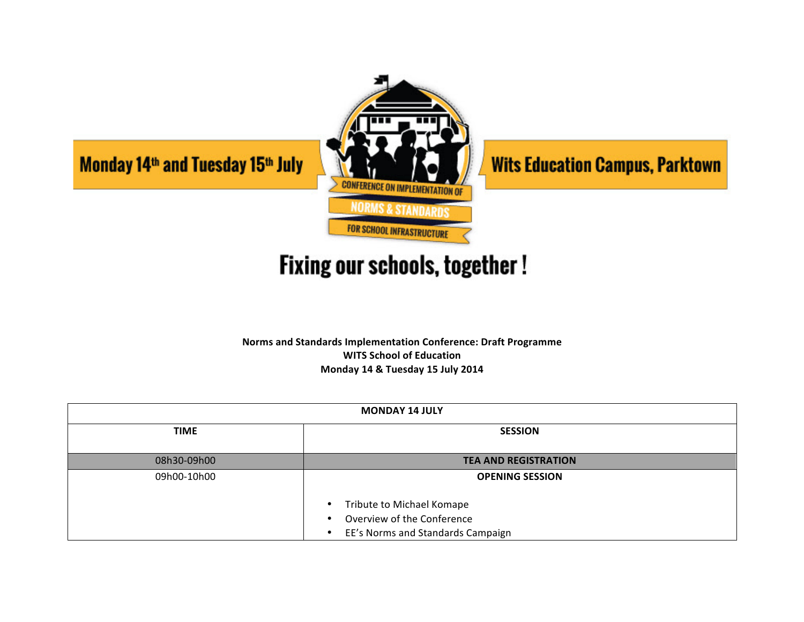

## **Fixing our schools, together!**

**Norms and Standards Implementation Conference: Draft Programme WITS School of Education Monday 14 & Tuesday 15 July 2014**

| <b>MONDAY 14 JULY</b> |                                                                                                             |
|-----------------------|-------------------------------------------------------------------------------------------------------------|
| <b>TIME</b>           | <b>SESSION</b>                                                                                              |
| 08h30-09h00           | <b>TEA AND REGISTRATION</b>                                                                                 |
| 09h00-10h00           | <b>OPENING SESSION</b>                                                                                      |
|                       | Tribute to Michael Komape<br>٠<br>Overview of the Conference<br>٠<br>EE's Norms and Standards Campaign<br>٠ |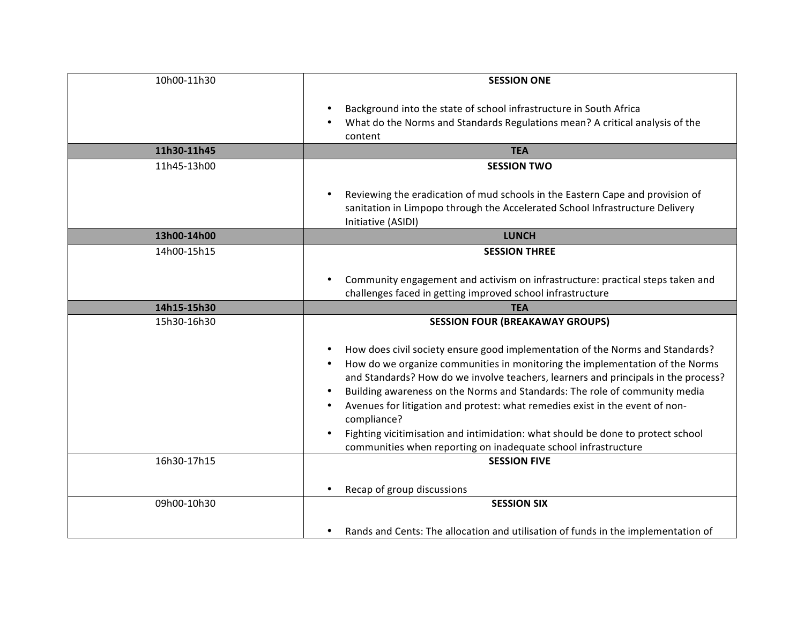| 10h00-11h30 | <b>SESSION ONE</b>                                                                                                                                                                                                                                                                                                             |
|-------------|--------------------------------------------------------------------------------------------------------------------------------------------------------------------------------------------------------------------------------------------------------------------------------------------------------------------------------|
|             | Background into the state of school infrastructure in South Africa<br>What do the Norms and Standards Regulations mean? A critical analysis of the<br>content                                                                                                                                                                  |
| 11h30-11h45 | <b>TEA</b>                                                                                                                                                                                                                                                                                                                     |
| 11h45-13h00 | <b>SESSION TWO</b><br>Reviewing the eradication of mud schools in the Eastern Cape and provision of                                                                                                                                                                                                                            |
|             | sanitation in Limpopo through the Accelerated School Infrastructure Delivery<br>Initiative (ASIDI)                                                                                                                                                                                                                             |
| 13h00-14h00 | <b>LUNCH</b>                                                                                                                                                                                                                                                                                                                   |
| 14h00-15h15 | <b>SESSION THREE</b>                                                                                                                                                                                                                                                                                                           |
|             | Community engagement and activism on infrastructure: practical steps taken and                                                                                                                                                                                                                                                 |
|             | challenges faced in getting improved school infrastructure                                                                                                                                                                                                                                                                     |
| 14h15-15h30 | <b>TEA</b>                                                                                                                                                                                                                                                                                                                     |
| 15h30-16h30 | <b>SESSION FOUR (BREAKAWAY GROUPS)</b><br>How does civil society ensure good implementation of the Norms and Standards?<br>How do we organize communities in monitoring the implementation of the Norms<br>and Standards? How do we involve teachers, learners and principals in the process?                                  |
|             | Building awareness on the Norms and Standards: The role of community media<br>Avenues for litigation and protest: what remedies exist in the event of non-<br>compliance?<br>Fighting vicitimisation and intimidation: what should be done to protect school<br>communities when reporting on inadequate school infrastructure |
| 16h30-17h15 | <b>SESSION FIVE</b><br>Recap of group discussions<br>$\bullet$                                                                                                                                                                                                                                                                 |
| 09h00-10h30 | <b>SESSION SIX</b><br>Rands and Cents: The allocation and utilisation of funds in the implementation of<br>$\bullet$                                                                                                                                                                                                           |